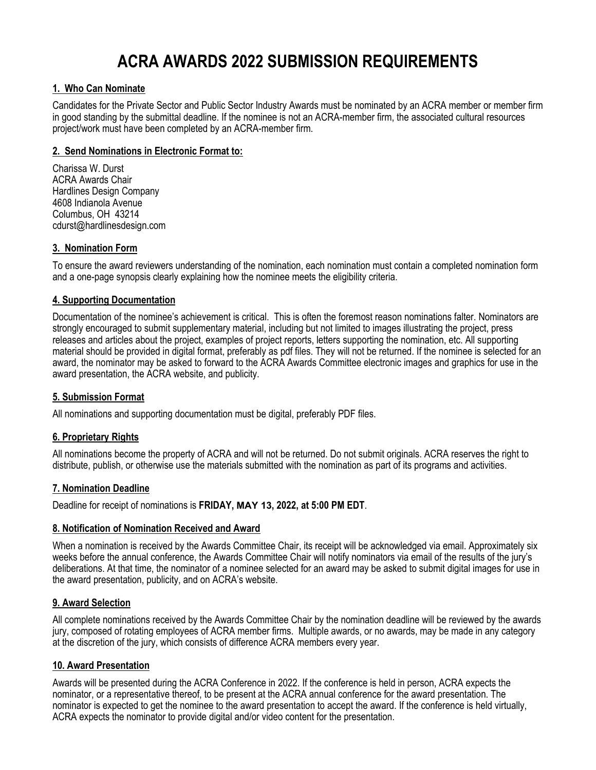# **ACRA AWARDS 2022 SUBMISSION REQUIREMENTS**

# **1. Who Can Nominate**

Candidates for the Private Sector and Public Sector Industry Awards must be nominated by an ACRA member or member firm in good standing by the submittal deadline. If the nominee is not an ACRA-member firm, the associated cultural resources project/work must have been completed by an ACRA-member firm.

#### **2. Send Nominations in Electronic Format to:**

Charissa W. Durst ACRA Awards Chair Hardlines Design Company 4608 Indianola Avenue Columbus, OH 43214 cdurst@hardlinesdesign.com

# **3. Nomination Form**

To ensure the award reviewers understanding of the nomination, each nomination must contain a completed nomination form and a one-page synopsis clearly explaining how the nominee meets the eligibility criteria.

#### **4. Supporting Documentation**

Documentation of the nominee's achievement is critical. This is often the foremost reason nominations falter. Nominators are strongly encouraged to submit supplementary material, including but not limited to images illustrating the project, press releases and articles about the project, examples of project reports, letters supporting the nomination, etc. All supporting material should be provided in digital format, preferably as pdf files. They will not be returned. If the nominee is selected for an award, the nominator may be asked to forward to the ACRA Awards Committee electronic images and graphics for use in the award presentation, the ACRA website, and publicity.

#### **5. Submission Format**

All nominations and supporting documentation must be digital, preferably PDF files.

#### **6. Proprietary Rights**

All nominations become the property of ACRA and will not be returned. Do not submit originals. ACRA reserves the right to distribute, publish, or otherwise use the materials submitted with the nomination as part of its programs and activities.

#### **7. Nomination Deadline**

Deadline for receipt of nominations is **FRIDAY, MAY 13, 2022, at 5:00 PM EDT**.

#### **8. Notification of Nomination Received and Award**

When a nomination is received by the Awards Committee Chair, its receipt will be acknowledged via email. Approximately six weeks before the annual conference, the Awards Committee Chair will notify nominators via email of the results of the jury's deliberations. At that time, the nominator of a nominee selected for an award may be asked to submit digital images for use in the award presentation, publicity, and on ACRA's website.

#### **9. Award Selection**

All complete nominations received by the Awards Committee Chair by the nomination deadline will be reviewed by the awards jury, composed of rotating employees of ACRA member firms. Multiple awards, or no awards, may be made in any category at the discretion of the jury, which consists of difference ACRA members every year.

#### **10. Award Presentation**

Awards will be presented during the ACRA Conference in 2022. If the conference is held in person, ACRA expects the nominator, or a representative thereof, to be present at the ACRA annual conference for the award presentation. The nominator is expected to get the nominee to the award presentation to accept the award. If the conference is held virtually, ACRA expects the nominator to provide digital and/or video content for the presentation.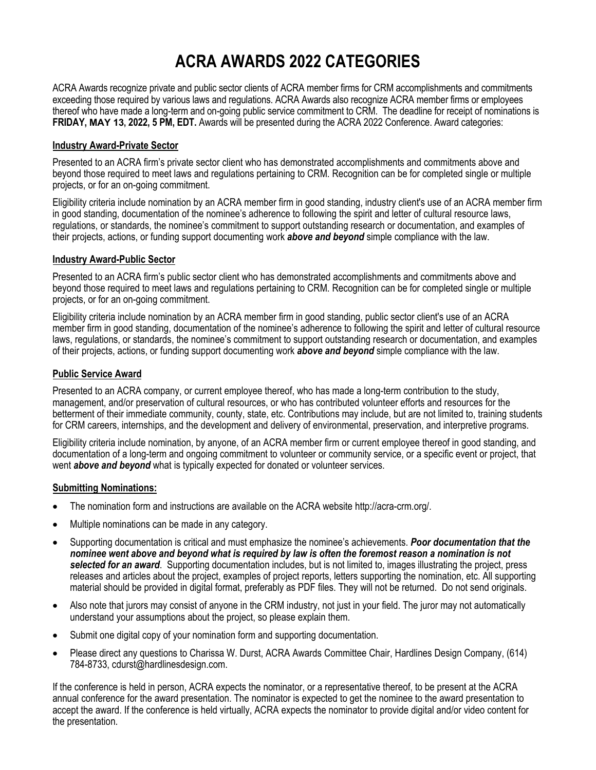# **ACRA AWARDS 2022 CATEGORIES**

ACRA Awards recognize private and public sector clients of ACRA member firms for CRM accomplishments and commitments exceeding those required by various laws and regulations. ACRA Awards also recognize ACRA member firms or employees thereof who have made a long-term and on-going public service commitment to CRM. The deadline for receipt of nominations is **FRIDAY, MAY 13, 2022, 5 PM, EDT.** Awards will be presented during the ACRA 2022 Conference. Award categories:

# **Industry Award-Private Sector**

Presented to an ACRA firm's private sector client who has demonstrated accomplishments and commitments above and beyond those required to meet laws and regulations pertaining to CRM. Recognition can be for completed single or multiple projects, or for an on-going commitment.

Eligibility criteria include nomination by an ACRA member firm in good standing, industry client's use of an ACRA member firm in good standing, documentation of the nominee's adherence to following the spirit and letter of cultural resource laws, regulations, or standards, the nominee's commitment to support outstanding research or documentation, and examples of their projects, actions, or funding support documenting work *above and beyond* simple compliance with the law.

# **Industry Award-Public Sector**

Presented to an ACRA firm's public sector client who has demonstrated accomplishments and commitments above and beyond those required to meet laws and regulations pertaining to CRM. Recognition can be for completed single or multiple projects, or for an on-going commitment.

Eligibility criteria include nomination by an ACRA member firm in good standing, public sector client's use of an ACRA member firm in good standing, documentation of the nominee's adherence to following the spirit and letter of cultural resource laws, regulations, or standards, the nominee's commitment to support outstanding research or documentation, and examples of their projects, actions, or funding support documenting work *above and beyond* simple compliance with the law.

# **Public Service Award**

Presented to an ACRA company, or current employee thereof, who has made a long-term contribution to the study, management, and/or preservation of cultural resources, or who has contributed volunteer efforts and resources for the betterment of their immediate community, county, state, etc. Contributions may include, but are not limited to, training students for CRM careers, internships, and the development and delivery of environmental, preservation, and interpretive programs.

Eligibility criteria include nomination, by anyone, of an ACRA member firm or current employee thereof in good standing, and documentation of a long-term and ongoing commitment to volunteer or community service, or a specific event or project, that went *above and beyond* what is typically expected for donated or volunteer services.

#### **Submitting Nominations:**

- The nomination form and instructions are available on the ACRA website http://acra-crm.org/.
- Multiple nominations can be made in any category.
- Supporting documentation is critical and must emphasize the nominee's achievements. *Poor documentation that the nominee went above and beyond what is required by law is often the foremost reason a nomination is not selected for an award*. Supporting documentation includes, but is not limited to, images illustrating the project, press releases and articles about the project, examples of project reports, letters supporting the nomination, etc. All supporting material should be provided in digital format, preferably as PDF files. They will not be returned. Do not send originals.
- Also note that jurors may consist of anyone in the CRM industry, not just in your field. The juror may not automatically understand your assumptions about the project, so please explain them.
- Submit one digital copy of your nomination form and supporting documentation.
- Please direct any questions to Charissa W. Durst, ACRA Awards Committee Chair, Hardlines Design Company, (614) 784-8733, cdurst@hardlinesdesign.com.

If the conference is held in person, ACRA expects the nominator, or a representative thereof, to be present at the ACRA annual conference for the award presentation. The nominator is expected to get the nominee to the award presentation to accept the award. If the conference is held virtually, ACRA expects the nominator to provide digital and/or video content for the presentation.